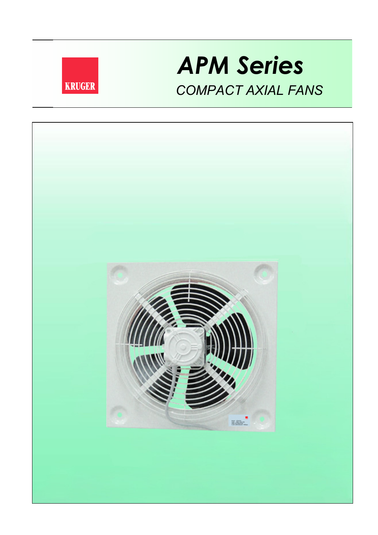

# *APM Series COMPACT AXIAL FANS*

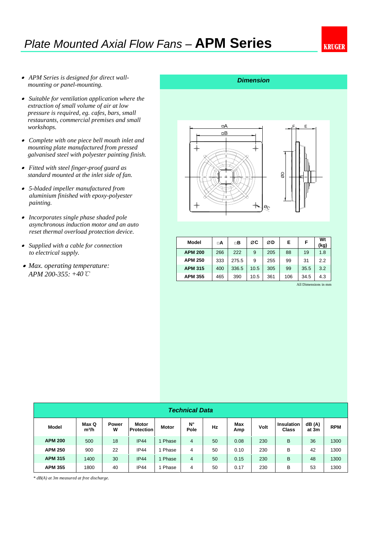# *Plate Mounted Axial Flow Fans –* **APM Series**

- *APM Series is designed for direct wallmounting or panel-mounting.*
- *Suitable for ventilation application where the extraction of small volume of air at low pressure is required, eg. cafes, bars, small restaurants, commercial premises and small workshops.*
- *Complete with one piece bell mouth inlet and mounting plate manufactured from pressed galvanised steel with polyester painting finish.*
- *Fitted with steel finger-proof guard as standard mounted at the inlet side of fan.*
- *5-bladed impeller manufactured from paint ing.aluminium finished with epoxy-polyester*
- *Incorporates single phase shaded pole asynchronous induction motor and an auto reset thermal overload protection device.*
- *Supplied with a cable for connection to electrical supply.*
- *Max. operating temperature: APM 200-355: +40℃*

# *Dimension*



| Model          | □A  | □Β    | ØC   | ØD  | E   | F    | Wt<br>(kg) |
|----------------|-----|-------|------|-----|-----|------|------------|
| <b>APM 200</b> | 266 | 222   | 9    | 205 | 88  | 19   | 1.8        |
| <b>APM 250</b> | 333 | 275.5 | 9    | 255 | 99  | 31   | 2.2        |
| <b>APM 315</b> | 400 | 336.5 | 10.5 | 305 | 99  | 35.5 | 3.2        |
| <b>APM 355</b> | 465 | 390   | 10.5 | 361 | 106 | 34.5 | 4.3        |

All Dimensions in mm

| <b>Technical Data</b> |                            |                   |                            |       |            |    |            |      |                            |                 |            |
|-----------------------|----------------------------|-------------------|----------------------------|-------|------------|----|------------|------|----------------------------|-----------------|------------|
| Model                 | Max Q<br>m <sup>3</sup> /h | <b>Power</b><br>w | Motor<br><b>Protection</b> | Motor | N°<br>Pole | Hz | Max<br>Amp | Volt | Insulation<br><b>Class</b> | dB (A)<br>at 3m | <b>RPM</b> |
| <b>APM 200</b>        | 500                        | 18                | IP44                       | Phase | 4          | 50 | 0.08       | 230  | B                          | 36              | 1300       |
| <b>APM 250</b>        | 900                        | 22                | <b>IP44</b>                | Phase | 4          | 50 | 0.10       | 230  | B                          | 42              | 1300       |
| <b>APM 315</b>        | 1400                       | 30                | IP44                       | Phase | 4          | 50 | 0.15       | 230  | B                          | 48              | 1300       |
| <b>APM 355</b>        | 1800                       | 40                | <b>IP44</b>                | Phase | 4          | 50 | 0.17       | 230  | B                          | 53              | 1300       |

*\* dB(A) at 3m measured at free discharge.*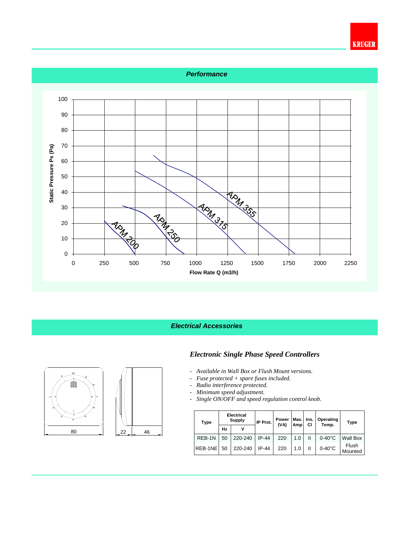

# *Electrical Accessories*



- *Available in Wall Box or Flush Mount versions.*
- *Fuse protected + spare fuses included.*
- *Radio interference protected.*
- *Minimum speed adjustment.*
- *Single ON/OFF and speed regulation control knob.*

| <b>Type</b> |    | <b>Electrical</b><br><b>Supply</b> | IP Prot. | Power<br>(VA) | Max. | Ins. | Operating<br>Temp. | <b>Type</b>      |  |
|-------------|----|------------------------------------|----------|---------------|------|------|--------------------|------------------|--|
|             | Hz |                                    |          | СI<br>Amp     |      |      |                    |                  |  |
| REB-1N      | 50 | 220-240                            | IP-44    | 220           | 1.0  | Ш    | $0-40^{\circ}$ C   | Wall Box         |  |
| REB-1NE     | 50 | 220-240                            | $IP-44$  | 220           | 1.0  | Ш    | $0-40^{\circ}$ C   | Flush<br>Mounted |  |